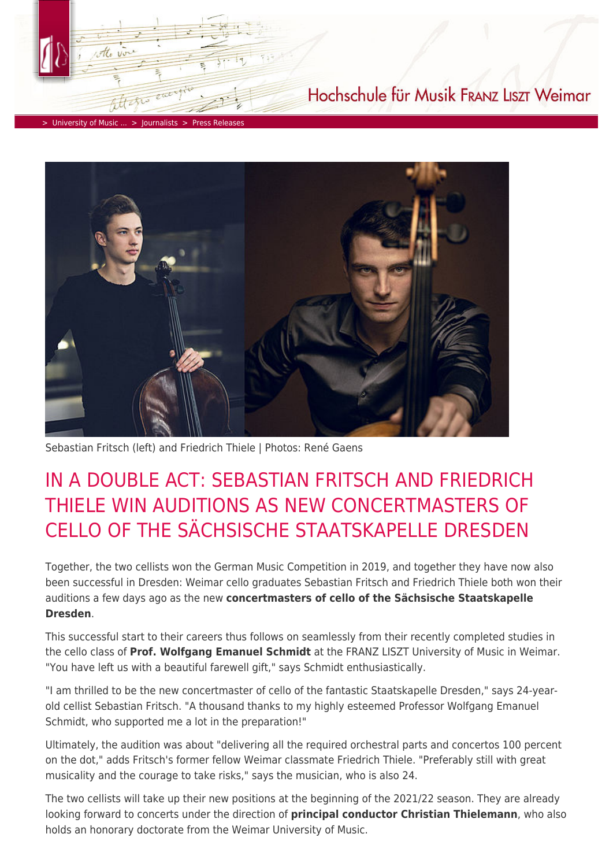> [University of Music ...](https://www.hfm-weimar.de/start/?L=1) > [Journalists](https://www.hfm-weimar.de/journalists/contact/?L=1) > [Press Releases](https://www.hfm-weimar.de/journalists/press-releases/?L=1)



Hochschule für Musik FRANZ LISZT Weimar

Sebastian Fritsch (left) and Friedrich Thiele | Photos: René Gaens

## IN A DOUBLE ACT: SEBASTIAN FRITSCH AND FRIEDRICH THIELE WIN AUDITIONS AS NEW CONCERTMASTERS OF CELLO OF THE SÄCHSISCHE STAATSKAPELLE DRESDEN

Together, the two cellists won the German Music Competition in 2019, and together they have now also been successful in Dresden: Weimar cello graduates Sebastian Fritsch and Friedrich Thiele both won their auditions a few days ago as the new **concertmasters of cello of the Sächsische Staatskapelle Dresden**.

This successful start to their careers thus follows on seamlessly from their recently completed studies in the cello class of **Prof. Wolfgang Emanuel Schmidt** at the FRANZ LISZT University of Music in Weimar. "You have left us with a beautiful farewell gift," says Schmidt enthusiastically.

"I am thrilled to be the new concertmaster of cello of the fantastic Staatskapelle Dresden," says 24-yearold cellist Sebastian Fritsch. "A thousand thanks to my highly esteemed Professor Wolfgang Emanuel Schmidt, who supported me a lot in the preparation!"

Ultimately, the audition was about "delivering all the required orchestral parts and concertos 100 percent on the dot," adds Fritsch's former fellow Weimar classmate Friedrich Thiele. "Preferably still with great musicality and the courage to take risks," says the musician, who is also 24.

The two cellists will take up their new positions at the beginning of the 2021/22 season. They are already looking forward to concerts under the direction of **principal conductor Christian Thielemann**, who also holds an honorary doctorate from the Weimar University of Music.